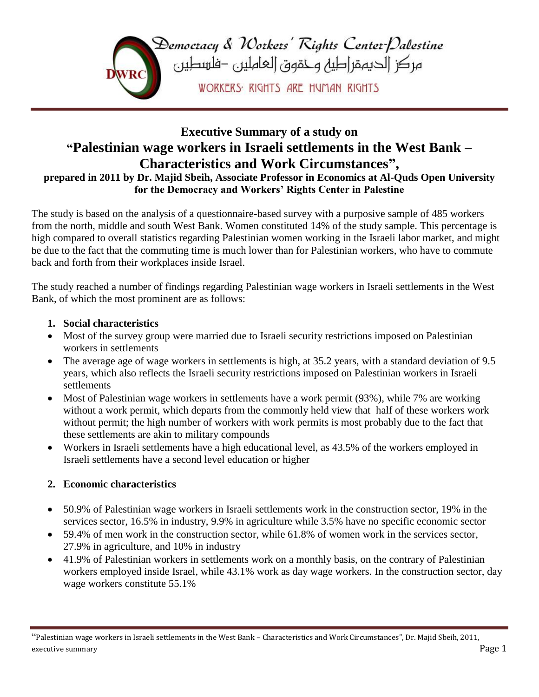

# **Executive Summary of a study on "Palestinian wage workers in Israeli settlements in the West Bank – Characteristics and Work Circumstances" ,**

**prepared in 2011 by Dr. Majid Sbeih, Associate Professor in Economics at Al-Quds Open University for the Democracy and Workers' Rights Center in Palestine**

The study is based on the analysis of a questionnaire-based survey with a purposive sample of 485 workers from the north, middle and south West Bank. Women constituted 14% of the study sample. This percentage is high compared to overall statistics regarding Palestinian women working in the Israeli labor market, and might be due to the fact that the commuting time is much lower than for Palestinian workers, who have to commute back and forth from their workplaces inside Israel.

The study reached a number of findings regarding Palestinian wage workers in Israeli settlements in the West Bank, of which the most prominent are as follows:

### **1. Social characteristics**

- Most of the survey group were married due to Israeli security restrictions imposed on Palestinian workers in settlements
- The average age of wage workers in settlements is high, at 35.2 years, with a standard deviation of 9.5 years, which also reflects the Israeli security restrictions imposed on Palestinian workers in Israeli settlements
- Most of Palestinian wage workers in settlements have a work permit (93%), while 7% are working without a work permit, which departs from the commonly held view that half of these workers work without permit; the high number of workers with work permits is most probably due to the fact that these settlements are akin to military compounds
- Workers in Israeli settlements have a high educational level, as 43.5% of the workers employed in Israeli settlements have a second level education or higher

### **2. Economic characteristics**

- 50.9% of Palestinian wage workers in Israeli settlements work in the construction sector, 19% in the services sector, 16.5% in industry, 9.9% in agriculture while 3.5% have no specific economic sector
- 59.4% of men work in the construction sector, while 61.8% of women work in the services sector, 27.9% in agriculture, and 10% in industry
- 41.9% of Palestinian workers in settlements work on a monthly basis, on the contrary of Palestinian workers employed inside Israel, while 43.1% work as day wage workers. In the construction sector, day wage workers constitute 55.1%

<sup>&</sup>quot;Palestinian wage workers in Israeli settlements in the West Bank – Characteristics and Work Circumstances", Dr. Majid Sbeih, 2011, executive summary **Page 1** Page 1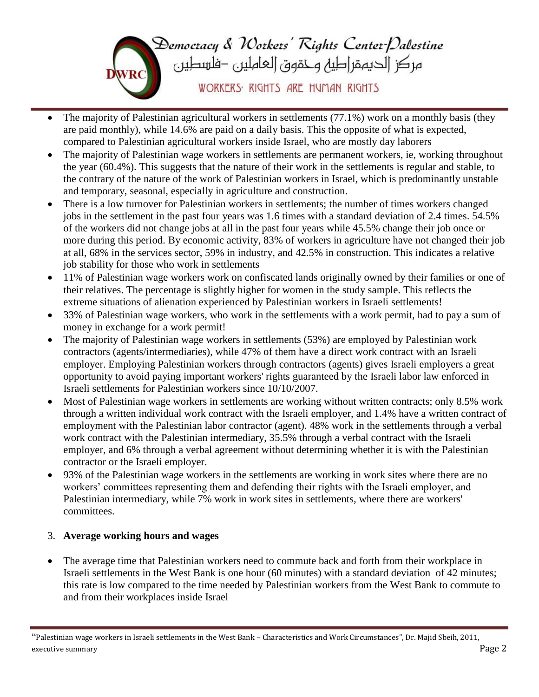

- The majority of Palestinian agricultural workers in settlements (77.1%) work on a monthly basis (they are paid monthly), while 14.6% are paid on a daily basis. This the opposite of what is expected, compared to Palestinian agricultural workers inside Israel, who are mostly day laborers
- The majority of Palestinian wage workers in settlements are permanent workers, ie, working throughout the year (60.4%). This suggests that the nature of their work in the settlements is regular and stable, to the contrary of the nature of the work of Palestinian workers in Israel, which is predominantly unstable and temporary, seasonal, especially in agriculture and construction.
- There is a low turnover for Palestinian workers in settlements; the number of times workers changed jobs in the settlement in the past four years was 1.6 times with a standard deviation of 2.4 times. 54.5% of the workers did not change jobs at all in the past four years while 45.5% change their job once or more during this period. By economic activity, 83% of workers in agriculture have not changed their job at all, 68% in the services sector, 59% in industry, and 42.5% in construction. This indicates a relative job stability for those who work in settlements
- 11% of Palestinian wage workers work on confiscated lands originally owned by their families or one of their relatives. The percentage is slightly higher for women in the study sample. This reflects the extreme situations of alienation experienced by Palestinian workers in Israeli settlements!
- 33% of Palestinian wage workers, who work in the settlements with a work permit, had to pay a sum of money in exchange for a work permit!
- The majority of Palestinian wage workers in settlements (53%) are employed by Palestinian work contractors (agents/intermediaries), while 47% of them have a direct work contract with an Israeli employer. Employing Palestinian workers through contractors (agents) gives Israeli employers a great opportunity to avoid paying important workers' rights guaranteed by the Israeli labor law enforced in Israeli settlements for Palestinian workers since 10/10/2007.
- Most of Palestinian wage workers in settlements are working without written contracts; only 8.5% work through a written individual work contract with the Israeli employer, and 1.4% have a written contract of employment with the Palestinian labor contractor (agent). 48% work in the settlements through a verbal work contract with the Palestinian intermediary, 35.5% through a verbal contract with the Israeli employer, and 6% through a verbal agreement without determining whether it is with the Palestinian contractor or the Israeli employer.
- 93% of the Palestinian wage workers in the settlements are working in work sites where there are no workers' committees representing them and defending their rights with the Israeli employer, and Palestinian intermediary, while 7% work in work sites in settlements, where there are workers' committees.

### 3. **Average working hours and wages**

• The average time that Palestinian workers need to commute back and forth from their workplace in Israeli settlements in the West Bank is one hour (60 minutes) with a standard deviation of 42 minutes; this rate is low compared to the time needed by Palestinian workers from the West Bank to commute to and from their workplaces inside Israel

<sup>&</sup>quot;Palestinian wage workers in Israeli settlements in the West Bank – Characteristics and Work Circumstances", Dr. Majid Sbeih, 2011, executive summary **Page 2**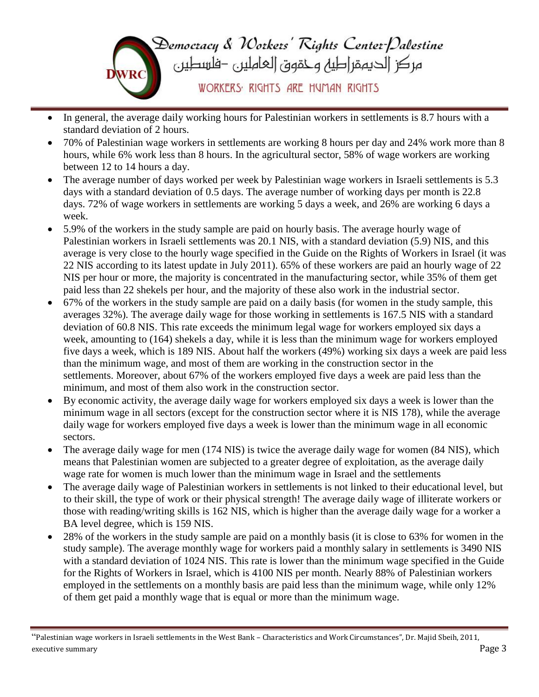

- In general, the average daily working hours for Palestinian workers in settlements is 8.7 hours with a standard deviation of 2 hours.
- 70% of Palestinian wage workers in settlements are working 8 hours per day and 24% work more than 8 hours, while 6% work less than 8 hours. In the agricultural sector, 58% of wage workers are working between 12 to 14 hours a day.
- The average number of days worked per week by Palestinian wage workers in Israeli settlements is 5.3 days with a standard deviation of 0.5 days. The average number of working days per month is 22.8 days. 72% of wage workers in settlements are working 5 days a week, and 26% are working 6 days a week.
- 5.9% of the workers in the study sample are paid on hourly basis. The average hourly wage of Palestinian workers in Israeli settlements was 20.1 NIS, with a standard deviation (5.9) NIS, and this average is very close to the hourly wage specified in the Guide on the Rights of Workers in Israel (it was 22 NIS according to its latest update in July 2011). 65% of these workers are paid an hourly wage of 22 NIS per hour or more, the majority is concentrated in the manufacturing sector, while 35% of them get paid less than 22 shekels per hour, and the majority of these also work in the industrial sector.
- 67% of the workers in the study sample are paid on a daily basis (for women in the study sample, this averages 32%). The average daily wage for those working in settlements is 167.5 NIS with a standard deviation of 60.8 NIS. This rate exceeds the minimum legal wage for workers employed six days a week, amounting to (164) shekels a day, while it is less than the minimum wage for workers employed five days a week, which is 189 NIS. About half the workers (49%) working six days a week are paid less than the minimum wage, and most of them are working in the construction sector in the settlements. Moreover, about 67% of the workers employed five days a week are paid less than the minimum, and most of them also work in the construction sector.
- By economic activity, the average daily wage for workers employed six days a week is lower than the minimum wage in all sectors (except for the construction sector where it is NIS 178), while the average daily wage for workers employed five days a week is lower than the minimum wage in all economic sectors.
- The average daily wage for men (174 NIS) is twice the average daily wage for women (84 NIS), which means that Palestinian women are subjected to a greater degree of exploitation, as the average daily wage rate for women is much lower than the minimum wage in Israel and the settlements
- The average daily wage of Palestinian workers in settlements is not linked to their educational level, but to their skill, the type of work or their physical strength! The average daily wage of illiterate workers or those with reading/writing skills is 162 NIS, which is higher than the average daily wage for a worker a BA level degree, which is 159 NIS.
- 28% of the workers in the study sample are paid on a monthly basis (it is close to 63% for women in the study sample). The average monthly wage for workers paid a monthly salary in settlements is 3490 NIS with a standard deviation of 1024 NIS. This rate is lower than the minimum wage specified in the Guide for the Rights of Workers in Israel, which is 4100 NIS per month. Nearly 88% of Palestinian workers employed in the settlements on a monthly basis are paid less than the minimum wage, while only 12% of them get paid a monthly wage that is equal or more than the minimum wage.

<sup>&</sup>quot;Palestinian wage workers in Israeli settlements in the West Bank – Characteristics and Work Circumstances", Dr. Majid Sbeih, 2011, executive summary **Page 3** Page 3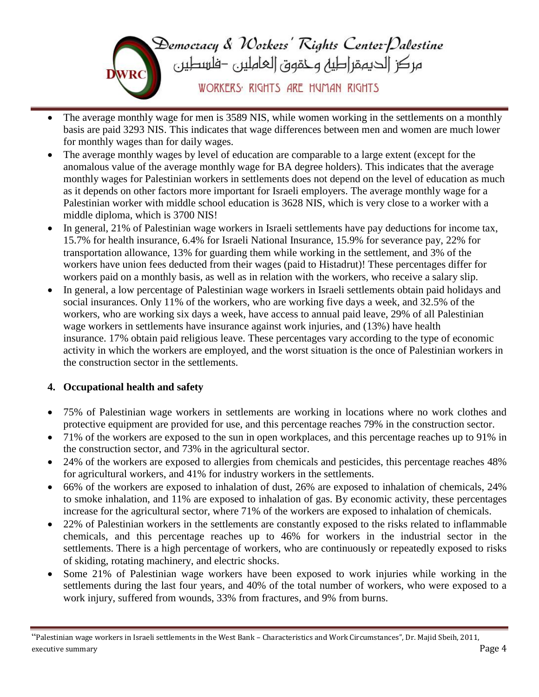

- The average monthly wage for men is 3589 NIS, while women working in the settlements on a monthly basis are paid 3293 NIS. This indicates that wage differences between men and women are much lower for monthly wages than for daily wages.
- The average monthly wages by level of education are comparable to a large extent (except for the anomalous value of the average monthly wage for BA degree holders). This indicates that the average monthly wages for Palestinian workers in settlements does not depend on the level of education as much as it depends on other factors more important for Israeli employers. The average monthly wage for a Palestinian worker with middle school education is 3628 NIS, which is very close to a worker with a middle diploma, which is 3700 NIS!
- In general, 21% of Palestinian wage workers in Israeli settlements have pay deductions for income tax, 15.7% for health insurance, 6.4% for Israeli National Insurance, 15.9% for severance pay, 22% for transportation allowance, 13% for guarding them while working in the settlement, and 3% of the workers have union fees deducted from their wages (paid to Histadrut)! These percentages differ for workers paid on a monthly basis, as well as in relation with the workers, who receive a salary slip.
- In general, a low percentage of Palestinian wage workers in Israeli settlements obtain paid holidays and social insurances. Only 11% of the workers, who are working five days a week, and 32.5% of the workers, who are working six days a week, have access to annual paid leave, 29% of all Palestinian wage workers in settlements have insurance against work injuries, and (13%) have health insurance. 17% obtain paid religious leave. These percentages vary according to the type of economic activity in which the workers are employed, and the worst situation is the once of Palestinian workers in the construction sector in the settlements.

### **4. Occupational health and safety**

- 75% of Palestinian wage workers in settlements are working in locations where no work clothes and protective equipment are provided for use, and this percentage reaches 79% in the construction sector.
- 71% of the workers are exposed to the sun in open workplaces, and this percentage reaches up to 91% in the construction sector, and 73% in the agricultural sector.
- 24% of the workers are exposed to allergies from chemicals and pesticides, this percentage reaches 48% for agricultural workers, and 41% for industry workers in the settlements.
- 66% of the workers are exposed to inhalation of dust, 26% are exposed to inhalation of chemicals, 24% to smoke inhalation, and 11% are exposed to inhalation of gas. By economic activity, these percentages increase for the agricultural sector, where 71% of the workers are exposed to inhalation of chemicals.
- 22% of Palestinian workers in the settlements are constantly exposed to the risks related to inflammable chemicals, and this percentage reaches up to 46% for workers in the industrial sector in the settlements. There is a high percentage of workers, who are continuously or repeatedly exposed to risks of skiding, rotating machinery, and electric shocks.
- Some 21% of Palestinian wage workers have been exposed to work injuries while working in the settlements during the last four years, and 40% of the total number of workers, who were exposed to a work injury, suffered from wounds, 33% from fractures, and 9% from burns.

<sup>&</sup>quot;Palestinian wage workers in Israeli settlements in the West Bank – Characteristics and Work Circumstances", Dr. Majid Sbeih, 2011, executive summary **Page 4**